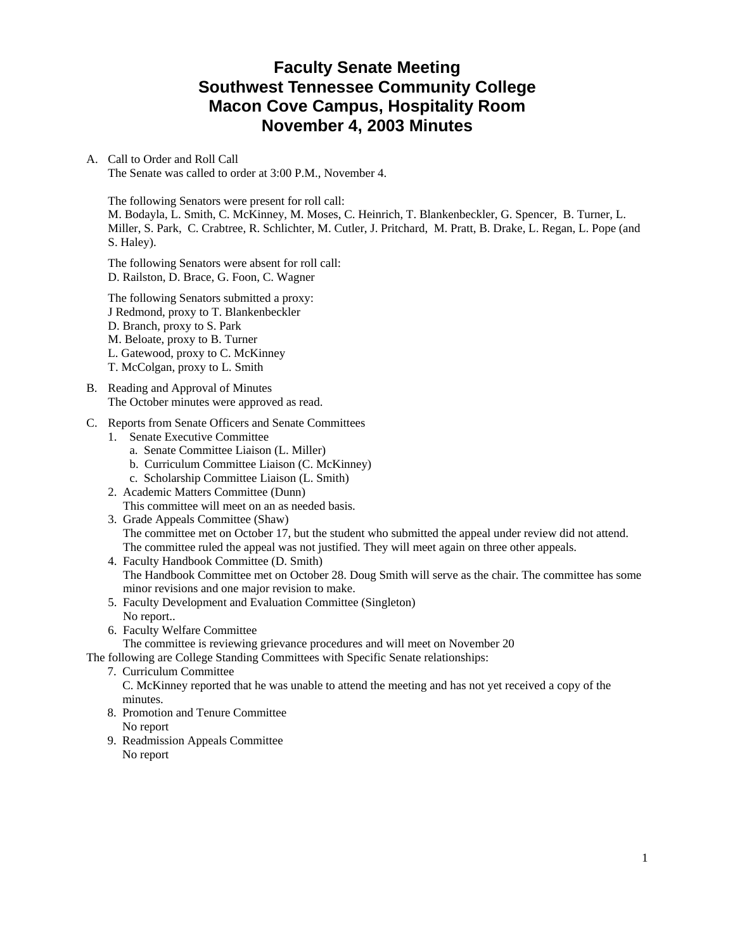# **Faculty Senate Meeting Southwest Tennessee Community College Macon Cove Campus, Hospitality Room November 4, 2003 Minutes**

### A. Call to Order and Roll Call

The Senate was called to order at 3:00 P.M., November 4.

The following Senators were present for roll call:

M. Bodayla, L. Smith, C. McKinney, M. Moses, C. Heinrich, T. Blankenbeckler, G. Spencer, B. Turner, L. Miller, S. Park, C. Crabtree, R. Schlichter, M. Cutler, J. Pritchard, M. Pratt, B. Drake, L. Regan, L. Pope (and S. Haley).

The following Senators were absent for roll call: D. Railston, D. Brace, G. Foon, C. Wagner

The following Senators submitted a proxy: J Redmond, proxy to T. Blankenbeckler D. Branch, proxy to S. Park M. Beloate, proxy to B. Turner L. Gatewood, proxy to C. McKinney T. McColgan, proxy to L. Smith

- B. Reading and Approval of Minutes The October minutes were approved as read.
- C. Reports from Senate Officers and Senate Committees
	- 1. Senate Executive Committee
		- a. Senate Committee Liaison (L. Miller)
		- b. Curriculum Committee Liaison (C. McKinney)
		- c. Scholarship Committee Liaison (L. Smith)
	- 2. Academic Matters Committee (Dunn) This committee will meet on an as needed basis.
	- 3. Grade Appeals Committee (Shaw) The committee met on October 17, but the student who submitted the appeal under review did not attend. The committee ruled the appeal was not justified. They will meet again on three other appeals.
	- 4. Faculty Handbook Committee (D. Smith) The Handbook Committee met on October 28. Doug Smith will serve as the chair. The committee has some minor revisions and one major revision to make.
	- 5. Faculty Development and Evaluation Committee (Singleton) No report..
	- 6. Faculty Welfare Committee
		- The committee is reviewing grievance procedures and will meet on November 20

The following are College Standing Committees with Specific Senate relationships:

7. Curriculum Committee

 C. McKinney reported that he was unable to attend the meeting and has not yet received a copy of the minutes.

- 8. Promotion and Tenure Committee No report
- 9. Readmission Appeals Committee No report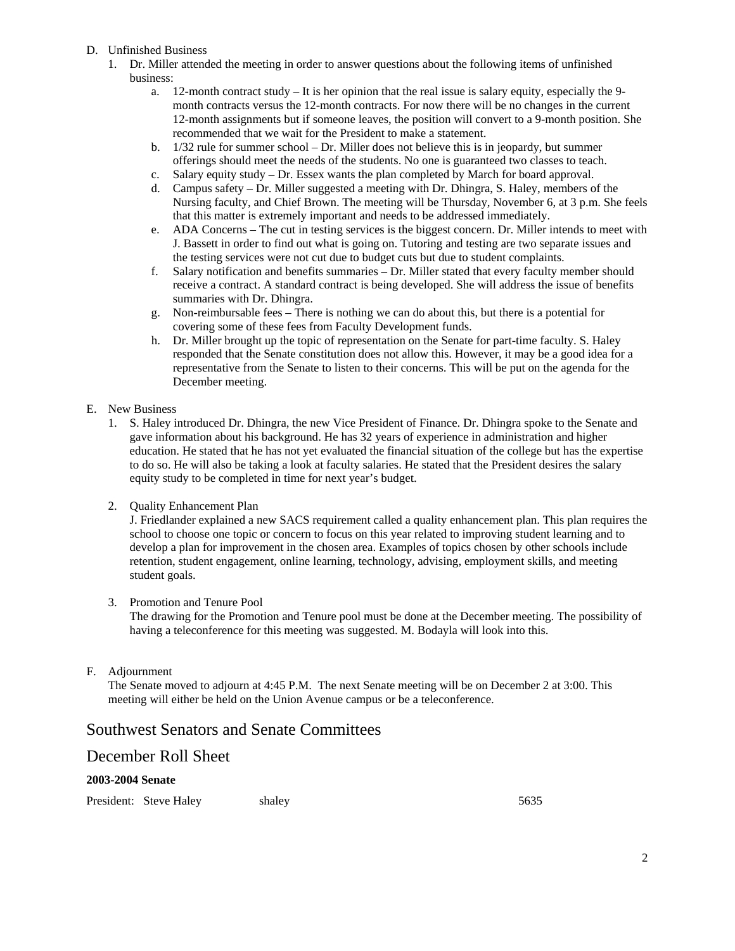- D. Unfinished Business
	- 1. Dr. Miller attended the meeting in order to answer questions about the following items of unfinished business:
		- a. 12-month contract study It is her opinion that the real issue is salary equity, especially the 9 month contracts versus the 12-month contracts. For now there will be no changes in the current 12-month assignments but if someone leaves, the position will convert to a 9-month position. She recommended that we wait for the President to make a statement.
		- b. 1/32 rule for summer school Dr. Miller does not believe this is in jeopardy, but summer offerings should meet the needs of the students. No one is guaranteed two classes to teach.
		- c. Salary equity study Dr. Essex wants the plan completed by March for board approval.
		- d. Campus safety Dr. Miller suggested a meeting with Dr. Dhingra, S. Haley, members of the Nursing faculty, and Chief Brown. The meeting will be Thursday, November 6, at 3 p.m. She feels that this matter is extremely important and needs to be addressed immediately.
		- e. ADA Concerns The cut in testing services is the biggest concern. Dr. Miller intends to meet with J. Bassett in order to find out what is going on. Tutoring and testing are two separate issues and the testing services were not cut due to budget cuts but due to student complaints.
		- f. Salary notification and benefits summaries Dr. Miller stated that every faculty member should receive a contract. A standard contract is being developed. She will address the issue of benefits summaries with Dr. Dhingra.
		- g. Non-reimbursable fees There is nothing we can do about this, but there is a potential for covering some of these fees from Faculty Development funds.
		- h. Dr. Miller brought up the topic of representation on the Senate for part-time faculty. S. Haley responded that the Senate constitution does not allow this. However, it may be a good idea for a representative from the Senate to listen to their concerns. This will be put on the agenda for the December meeting.

### E. New Business

- 1. S. Haley introduced Dr. Dhingra, the new Vice President of Finance. Dr. Dhingra spoke to the Senate and gave information about his background. He has 32 years of experience in administration and higher education. He stated that he has not yet evaluated the financial situation of the college but has the expertise to do so. He will also be taking a look at faculty salaries. He stated that the President desires the salary equity study to be completed in time for next year's budget.
- 2. Quality Enhancement Plan

J. Friedlander explained a new SACS requirement called a quality enhancement plan. This plan requires the school to choose one topic or concern to focus on this year related to improving student learning and to develop a plan for improvement in the chosen area. Examples of topics chosen by other schools include retention, student engagement, online learning, technology, advising, employment skills, and meeting student goals.

3. Promotion and Tenure Pool

The drawing for the Promotion and Tenure pool must be done at the December meeting. The possibility of having a teleconference for this meeting was suggested. M. Bodayla will look into this.

F. Adjournment

The Senate moved to adjourn at 4:45 P.M. The next Senate meeting will be on December 2 at 3:00. This meeting will either be held on the Union Avenue campus or be a teleconference.

## Southwest Senators and Senate Committees

## December Roll Sheet

### **2003-2004 Senate**

President: Steve Haley shaley shaley 5635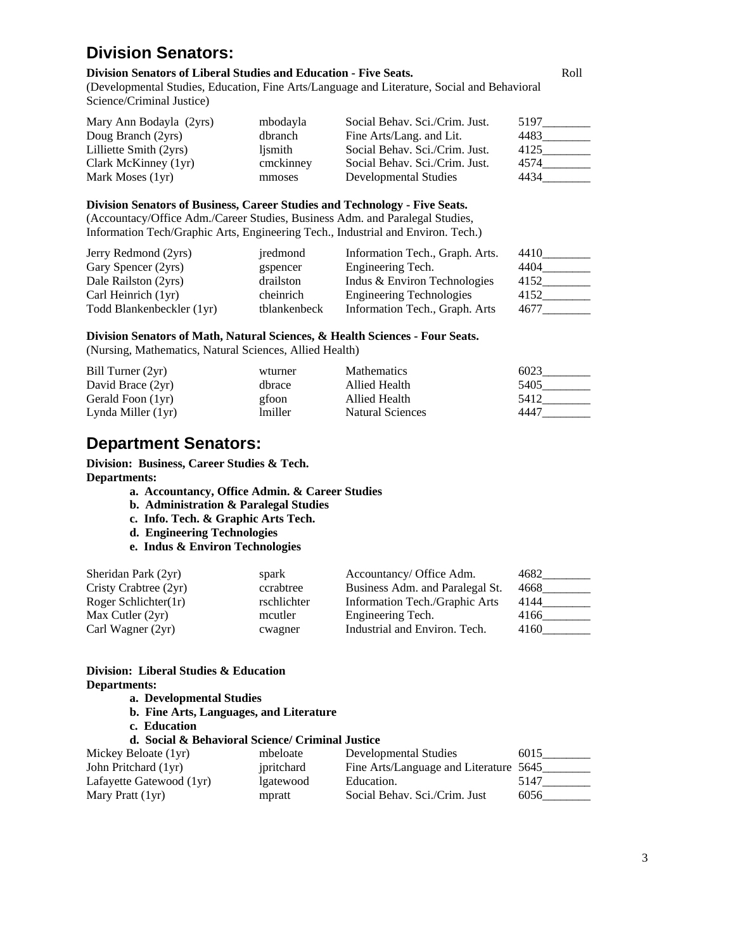# **Division Senators:**

#### **Division Senators of Liberal Studies and Education - Five Seats.** Roll

(Developmental Studies, Education, Fine Arts/Language and Literature, Social and Behavioral Science/Criminal Justice)

| Mary Ann Bodayla (2yrs) | mbodayla  | Social Behav. Sci./Crim. Just. | 5197 |
|-------------------------|-----------|--------------------------------|------|
| Doug Branch (2yrs)      | dbranch   | Fine Arts/Lang. and Lit.       | 4483 |
| Lilliette Smith (2yrs)  | lismith   | Social Behav. Sci./Crim. Just. | 4125 |
| Clark McKinney (1yr)    | cmckinney | Social Behav. Sci./Crim. Just. | 4574 |
| Mark Moses (1yr)        | mmoses    | Developmental Studies          | 4434 |

#### **Division Senators of Business, Career Studies and Technology - Five Seats.**

(Accountacy/Office Adm./Career Studies, Business Adm. and Paralegal Studies, Information Tech/Graphic Arts, Engineering Tech., Industrial and Environ. Tech.)

| Jerry Redmond (2yrs)      | iredmond     | Information Tech., Graph. Arts. | 4410 |
|---------------------------|--------------|---------------------------------|------|
| Gary Spencer (2yrs)       | gspencer     | Engineering Tech.               | 4404 |
| Dale Railston (2yrs)      | drailston    | Indus & Environ Technologies    | 4152 |
| Carl Heinrich (1yr)       | cheinrich    | <b>Engineering Technologies</b> | 4152 |
| Todd Blankenbeckler (1yr) | tblankenbeck | Information Tech., Graph. Arts  | 4677 |

#### **Division Senators of Math, Natural Sciences, & Health Sciences - Four Seats.**  (Nursing, Mathematics, Natural Sciences, Allied Health)

| Bill Turner $(2yr)$  | wturner | <b>Mathematics</b> | 6023 |
|----------------------|---------|--------------------|------|
| David Brace (2yr)    | dbrace  | Allied Health      | 5405 |
| Gerald Foon (1yr)    | gfoon   | Allied Health      | 5412 |
| Lynda Miller $(1yr)$ | lmiller | Natural Sciences   | 4447 |

# **Department Senators:**

**Division: Business, Career Studies & Tech. Departments:** 

- **a. Accountancy, Office Admin. & Career Studies**
- **b. Administration & Paralegal Studies**
- **c. Info. Tech. & Graphic Arts Tech.**
- **d. Engineering Technologies**
- **e. Indus & Environ Technologies**

| Sheridan Park (2yr)     | spark       | Accountancy/ Office Adm.        | 4682 |
|-------------------------|-------------|---------------------------------|------|
| Cristy Crabtree (2yr)   | ccrabtree   | Business Adm. and Paralegal St. | 4668 |
| Roger Schlichter $(1r)$ | rschlichter | Information Tech./Graphic Arts  | 4144 |
| Max Cutler $(2yr)$      | mcutler     | Engineering Tech.               | 4166 |
| Carl Wagner (2yr)       | cwagner     | Industrial and Environ. Tech.   | 4160 |

### **Division: Liberal Studies & Education Departments:**

- **a. Developmental Studies**
- **b. Fine Arts, Languages, and Literature**
- **c. Education**

## **d. Social & Behavioral Science/ Criminal Justice**

| Mickey Beloate (1yr)     | mbeloate   | Developmental Studies                  | 6015 |
|--------------------------|------------|----------------------------------------|------|
| John Pritchard (1yr)     | ipritchard | Fine Arts/Language and Literature 5645 |      |
| Lafayette Gatewood (1yr) | lgatewood  | Education.                             | 5147 |
| Mary Pratt (1yr)         | mpratt     | Social Behav. Sci./Crim. Just          | 6056 |